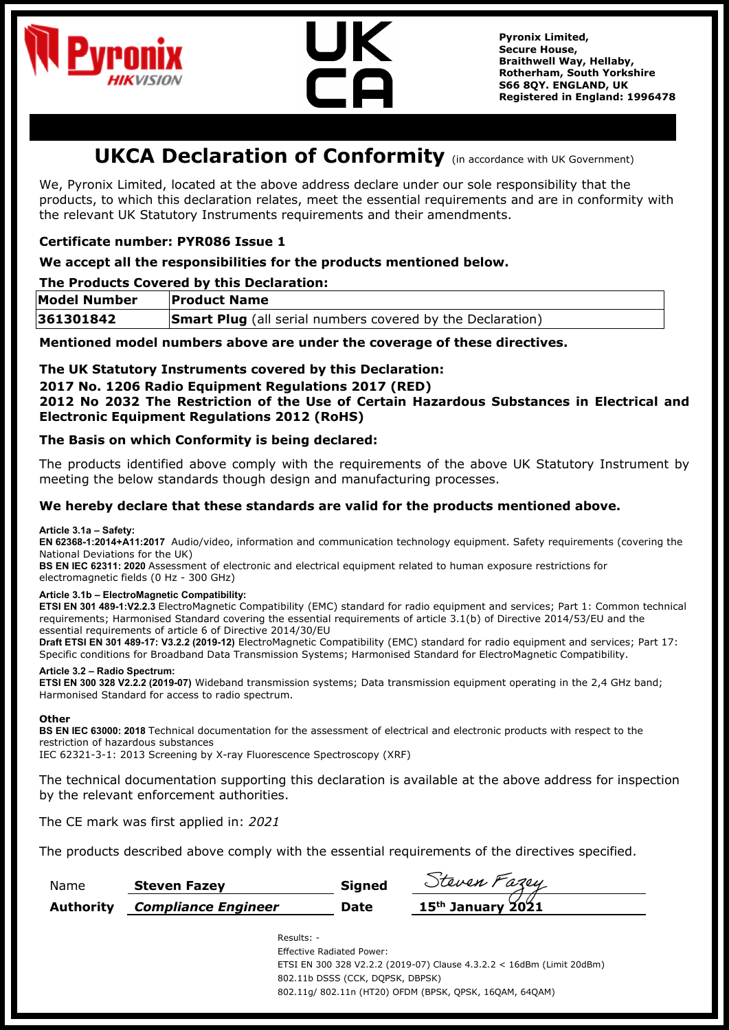



**Pyronix Limited, Secure House, Braithwell Way, Hellaby, Rotherham, South Yorkshire S66 8QY. ENGLAND, UK Registered in England: 1996478**

# **UKCA Declaration of Conformity** (in accordance with UK Government)

We, Pyronix Limited, located at the above address declare under our sole responsibility that the products, to which this declaration relates, meet the essential requirements and are in conformity with the relevant UK Statutory Instruments requirements and their amendments.

# **Certificate number: PYR086 Issue 1**

# **We accept all the responsibilities for the products mentioned below.**

# **The Products Covered by this Declaration:**

| <b>Model Number</b> | <b>Product Name</b>                                               |  |
|---------------------|-------------------------------------------------------------------|--|
| 361301842           | <b>Smart Plug</b> (all serial numbers covered by the Declaration) |  |

**Mentioned model numbers above are under the coverage of these directives.**

## **The UK Statutory Instruments covered by this Declaration:**

## **2017 No. 1206 Radio Equipment Regulations 2017 (RED)**

**2012 No 2032 The Restriction of the Use of Certain Hazardous Substances in Electrical and Electronic Equipment Regulations 2012 (RoHS)**

## **The Basis on which Conformity is being declared:**

The products identified above comply with the requirements of the above UK Statutory Instrument by meeting the below standards though design and manufacturing processes.

#### **We hereby declare that these standards are valid for the products mentioned above.**

#### **Article 3.1a – Safety:**

**EN 62368-1:2014+A11:2017** Audio/video, information and communication technology equipment. Safety requirements (covering the National Deviations for the UK)

**BS EN IEC 62311: 2020** Assessment of electronic and electrical equipment related to human exposure restrictions for electromagnetic fields (0 Hz - 300 GHz)

#### **Article 3.1b – ElectroMagnetic Compatibility:**

**ETSI EN 301 489-1:V2.2.3** ElectroMagnetic Compatibility (EMC) standard for radio equipment and services; Part 1: Common technical requirements; Harmonised Standard covering the essential requirements of article 3.1(b) of Directive 2014/53/EU and the essential requirements of article 6 of Directive 2014/30/EU

**Draft ETSI EN 301 489-17: V3.2.2 (2019-12)** ElectroMagnetic Compatibility (EMC) standard for radio equipment and services; Part 17: Specific conditions for Broadband Data Transmission Systems; Harmonised Standard for ElectroMagnetic Compatibility.

#### **Article 3.2 – Radio Spectrum:**

**ETSI EN 300 328 V2.2.2 (2019-07)** Wideband transmission systems; Data transmission equipment operating in the 2,4 GHz band; Harmonised Standard for access to radio spectrum.

#### **Other**

**BS EN IEC 63000: 2018** Technical documentation for the assessment of electrical and electronic products with respect to the restriction of hazardous substances

IEC 62321-3-1: 2013 Screening by X-ray Fluorescence Spectroscopy (XRF)

The technical documentation supporting this declaration is available at the above address for inspection by the relevant enforcement authorities.

The CE mark was first applied in: *2021*

The products described above comply with the essential requirements of the directives specified.

| Name      | <b>Steven Fazev</b>        | <b>Signed</b> | Steven Fazey        |
|-----------|----------------------------|---------------|---------------------|
| Authority | <b>Compliance Engineer</b> | Date          | $15th$ January 2021 |

Results: -

Effective Radiated Power: ETSI EN 300 328 V2.2.2 (2019-07) Clause 4.3.2.2 < 16dBm (Limit 20dBm) 802.11b DSSS (CCK, DQPSK, DBPSK) 802.11g/ 802.11n (HT20) OFDM (BPSK, QPSK, 16QAM, 64QAM)